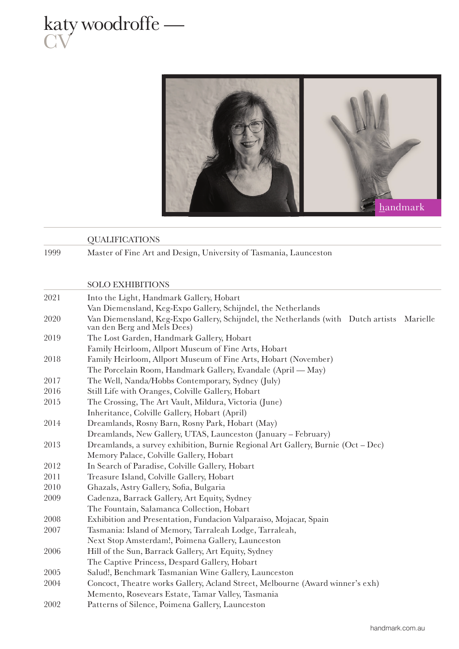



|      | <b>QUALIFICATIONS</b>                                                                                                     |
|------|---------------------------------------------------------------------------------------------------------------------------|
| 1999 | Master of Fine Art and Design, University of Tasmania, Launceston                                                         |
|      |                                                                                                                           |
|      | <b>SOLO EXHIBITIONS</b>                                                                                                   |
| 2021 | Into the Light, Handmark Gallery, Hobart                                                                                  |
|      | Van Diemensland, Keg-Expo Gallery, Schijndel, the Netherlands                                                             |
| 2020 | Van Diemensland, Keg-Expo Gallery, Schijndel, the Netherlands (with Dutch artists Marielle<br>van den Berg and Mels Dees) |
| 2019 | The Lost Garden, Handmark Gallery, Hobart                                                                                 |
|      | Family Heirloom, Allport Museum of Fine Arts, Hobart                                                                      |
| 2018 | Family Heirloom, Allport Museum of Fine Arts, Hobart (November)                                                           |
|      | The Porcelain Room, Handmark Gallery, Evandale (April - May)                                                              |
| 2017 | The Well, Nanda/Hobbs Contemporary, Sydney (July)                                                                         |
| 2016 | Still Life with Oranges, Colville Gallery, Hobart                                                                         |
| 2015 | The Crossing, The Art Vault, Mildura, Victoria (June)                                                                     |
|      | Inheritance, Colville Gallery, Hobart (April)                                                                             |
| 2014 | Dreamlands, Rosny Barn, Rosny Park, Hobart (May)                                                                          |
|      | Dreamlands, New Gallery, UTAS, Launceston (January - February)                                                            |
| 2013 | Dreamlands, a survey exhibition, Burnie Regional Art Gallery, Burnie (Oct - Dec)                                          |
|      | Memory Palace, Colville Gallery, Hobart                                                                                   |
| 2012 | In Search of Paradise, Colville Gallery, Hobart                                                                           |
| 2011 | Treasure Island, Colville Gallery, Hobart                                                                                 |
| 2010 | Ghazals, Astry Gallery, Sofia, Bulgaria                                                                                   |
| 2009 | Cadenza, Barrack Gallery, Art Equity, Sydney                                                                              |
|      | The Fountain, Salamanca Collection, Hobart                                                                                |
| 2008 | Exhibition and Presentation, Fundacion Valparaiso, Mojacar, Spain                                                         |
| 2007 | Tasmania: Island of Memory, Tarraleah Lodge, Tarraleah,                                                                   |
|      | Next Stop Amsterdam!, Poimena Gallery, Launceston                                                                         |
| 2006 | Hill of the Sun, Barrack Gallery, Art Equity, Sydney                                                                      |
|      | The Captive Princess, Despard Gallery, Hobart                                                                             |
| 2005 | Salud!, Benchmark Tasmanian Wine Gallery, Launceston                                                                      |
| 2004 | Concoct, Theatre works Gallery, Acland Street, Melbourne (Award winner's exh)                                             |
|      | Memento, Rosevears Estate, Tamar Valley, Tasmania                                                                         |
| 2002 | Patterns of Silence, Poimena Gallery, Launceston                                                                          |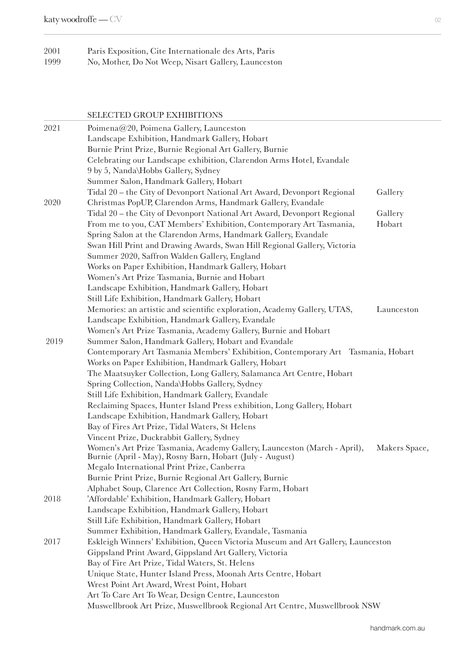## 2001 Paris Exposition, Cite Internationale des Arts, Paris 1999 No, Mother, Do Not Weep, Nisart Gallery, Launceston

SELECTED GROUP EXHIBITIONS

| 2021 | Poimena@20, Poimena Gallery, Launceston                                          |               |
|------|----------------------------------------------------------------------------------|---------------|
|      | Landscape Exhibition, Handmark Gallery, Hobart                                   |               |
|      | Burnie Print Prize, Burnie Regional Art Gallery, Burnie                          |               |
|      | Celebrating our Landscape exhibition, Clarendon Arms Hotel, Evandale             |               |
|      | 9 by 5, Nanda\Hobbs Gallery, Sydney                                              |               |
|      | Summer Salon, Handmark Gallery, Hobart                                           |               |
|      | Tidal 20 - the City of Devonport National Art Award, Devonport Regional          | Gallery       |
| 2020 | Christmas PopUP, Clarendon Arms, Handmark Gallery, Evandale                      |               |
|      | Tidal 20 - the City of Devonport National Art Award, Devonport Regional          | Gallery       |
|      | From me to you, CAT Members' Exhibition, Contemporary Art Tasmania,              | Hobart        |
|      | Spring Salon at the Clarendon Arms, Handmark Gallery, Evandale                   |               |
|      | Swan Hill Print and Drawing Awards, Swan Hill Regional Gallery, Victoria         |               |
|      | Summer 2020, Saffron Walden Gallery, England                                     |               |
|      | Works on Paper Exhibition, Handmark Gallery, Hobart                              |               |
|      | Women's Art Prize Tasmania, Burnie and Hobart                                    |               |
|      | Landscape Exhibition, Handmark Gallery, Hobart                                   |               |
|      | Still Life Exhibition, Handmark Gallery, Hobart                                  |               |
|      | Memories: an artistic and scientific exploration, Academy Gallery, UTAS,         | Launceston    |
|      | Landscape Exhibition, Handmark Gallery, Evandale                                 |               |
|      | Women's Art Prize Tasmania, Academy Gallery, Burnie and Hobart                   |               |
| 2019 | Summer Salon, Handmark Gallery, Hobart and Evandale                              |               |
|      | Contemporary Art Tasmania Members' Exhibition, Contemporary Art Tasmania, Hobart |               |
|      | Works on Paper Exhibition, Handmark Gallery, Hobart                              |               |
|      | The Maatsuyker Collection, Long Gallery, Salamanca Art Centre, Hobart            |               |
|      | Spring Collection, Nanda\Hobbs Gallery, Sydney                                   |               |
|      | Still Life Exhibition, Handmark Gallery, Evandale                                |               |
|      | Reclaiming Spaces, Hunter Island Press exhibition, Long Gallery, Hobart          |               |
|      | Landscape Exhibition, Handmark Gallery, Hobart                                   |               |
|      | Bay of Fires Art Prize, Tidal Waters, St Helens                                  |               |
|      | Vincent Prize, Duckrabbit Gallery, Sydney                                        |               |
|      | Women's Art Prize Tasmania, Academy Gallery, Launceston (March - April),         | Makers Space, |
|      | Burnie (April - May), Rosny Barn, Hobart (July - August)                         |               |
|      | Megalo International Print Prize, Canberra                                       |               |
|      | Burnie Print Prize, Burnie Regional Art Gallery, Burnie                          |               |
|      | Alphabet Soup, Clarence Art Collection, Rosny Farm, Hobart                       |               |
| 2018 | 'Affordable' Exhibition, Handmark Gallery, Hobart                                |               |
|      | Landscape Exhibition, Handmark Gallery, Hobart                                   |               |
|      | Still Life Exhibition, Handmark Gallery, Hobart                                  |               |
|      | Summer Exhibition, Handmark Gallery, Evandale, Tasmania                          |               |
| 2017 | Eskleigh Winners' Exhibition, Queen Victoria Museum and Art Gallery, Launceston  |               |
|      | Gippsland Print Award, Gippsland Art Gallery, Victoria                           |               |
|      | Bay of Fire Art Prize, Tidal Waters, St. Helens                                  |               |
|      | Unique State, Hunter Island Press, Moonah Arts Centre, Hobart                    |               |
|      | Wrest Point Art Award, Wrest Point, Hobart                                       |               |
|      | Art To Care Art To Wear, Design Centre, Launceston                               |               |
|      | Muswellbrook Art Prize, Muswellbrook Regional Art Centre, Muswellbrook NSW       |               |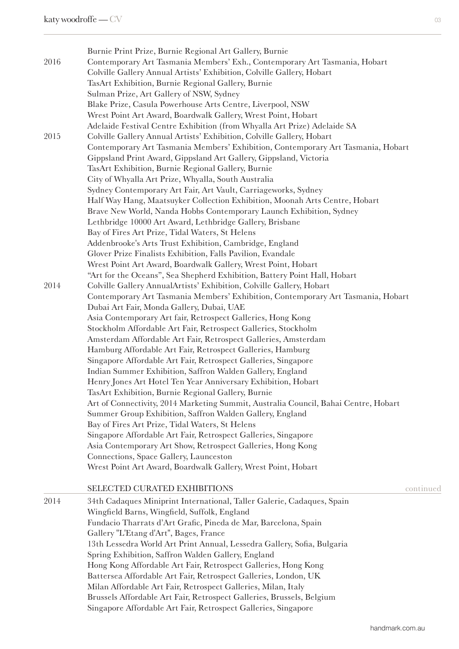| 2016 | Burnie Print Prize, Burnie Regional Art Gallery, Burnie<br>Contemporary Art Tasmania Members' Exh., Contemporary Art Tasmania, Hobart<br>Colville Gallery Annual Artists' Exhibition, Colville Gallery, Hobart<br>TasArt Exhibition, Burnie Regional Gallery, Burnie<br>Sulman Prize, Art Gallery of NSW, Sydney<br>Blake Prize, Casula Powerhouse Arts Centre, Liverpool, NSW<br>Wrest Point Art Award, Boardwalk Gallery, Wrest Point, Hobart<br>Adelaide Festival Centre Exhibition (from Whyalla Art Prize) Adelaide SA                                                                                                                                                                                                                                                                                                                                                                                                                                                                                                                                                                                                                                                    |
|------|--------------------------------------------------------------------------------------------------------------------------------------------------------------------------------------------------------------------------------------------------------------------------------------------------------------------------------------------------------------------------------------------------------------------------------------------------------------------------------------------------------------------------------------------------------------------------------------------------------------------------------------------------------------------------------------------------------------------------------------------------------------------------------------------------------------------------------------------------------------------------------------------------------------------------------------------------------------------------------------------------------------------------------------------------------------------------------------------------------------------------------------------------------------------------------|
| 2015 | Colville Gallery Annual Artists' Exhibition, Colville Gallery, Hobart<br>Contemporary Art Tasmania Members' Exhibition, Contemporary Art Tasmania, Hobart<br>Gippsland Print Award, Gippsland Art Gallery, Gippsland, Victoria<br>TasArt Exhibition, Burnie Regional Gallery, Burnie<br>City of Whyalla Art Prize, Whyalla, South Australia<br>Sydney Contemporary Art Fair, Art Vault, Carriageworks, Sydney<br>Half Way Hang, Maatsuyker Collection Exhibition, Moonah Arts Centre, Hobart<br>Brave New World, Nanda Hobbs Contemporary Launch Exhibition, Sydney<br>Lethbridge 10000 Art Award, Lethbridge Gallery, Brisbane<br>Bay of Fires Art Prize, Tidal Waters, St Helens<br>Addenbrooke's Arts Trust Exhibition, Cambridge, England<br>Glover Prize Finalists Exhibition, Falls Pavilion, Evandale<br>Wrest Point Art Award, Boardwalk Gallery, Wrest Point, Hobart<br>"Art for the Oceans", Sea Shepherd Exhibition, Battery Point Hall, Hobart                                                                                                                                                                                                                     |
| 2014 | Colville Gallery AnnualArtists' Exhibition, Colville Gallery, Hobart<br>Contemporary Art Tasmania Members' Exhibition, Contemporary Art Tasmania, Hobart<br>Dubai Art Fair, Monda Gallery, Dubai, UAE<br>Asia Contemporary Art fair, Retrospect Galleries, Hong Kong<br>Stockholm Affordable Art Fair, Retrospect Galleries, Stockholm<br>Amsterdam Affordable Art Fair, Retrospect Galleries, Amsterdam<br>Hamburg Affordable Art Fair, Retrospect Galleries, Hamburg<br>Singapore Affordable Art Fair, Retrospect Galleries, Singapore<br>Indian Summer Exhibition, Saffron Walden Gallery, England<br>Henry Jones Art Hotel Ten Year Anniversary Exhibition, Hobart<br>TasArt Exhibition, Burnie Regional Gallery, Burnie<br>Art of Connectivity, 2014 Marketing Summit, Australia Council, Bahai Centre, Hobart<br>Summer Group Exhibition, Saffron Walden Gallery, England<br>Bay of Fires Art Prize, Tidal Waters, St Helens<br>Singapore Affordable Art Fair, Retrospect Galleries, Singapore<br>Asia Contemporary Art Show, Retrospect Galleries, Hong Kong<br>Connections, Space Gallery, Launceston<br>Wrest Point Art Award, Boardwalk Gallery, Wrest Point, Hobart |
| 2014 | SELECTED CURATED EXHIBITIONS<br>continued<br>34th Cadaques Miniprint International, Taller Galerie, Cadaques, Spain<br>Wingfield Barns, Wingfield, Suffolk, England<br>Fundacio Tharrats d'Art Grafic, Pineda de Mar, Barcelona, Spain<br>Gallery "L'Etang d'Art", Bages, France<br>13th Lessedra World Art Print Annual, Lessedra Gallery, Sofia, Bulgaria<br>Spring Exhibition, Saffron Walden Gallery, England<br>Hong Kong Affordable Art Fair, Retrospect Galleries, Hong Kong<br>Battersea Affordable Art Fair, Retrospect Galleries, London, UK<br>Milan Affordable Art Fair, Retrospect Galleries, Milan, Italy                                                                                                                                                                                                                                                                                                                                                                                                                                                                                                                                                        |

Brussels Affordable Art Fair, Retrospect Galleries, Brussels, Belgium

Singapore Affordable Art Fair, Retrospect Galleries, Singapore

handmark.com.au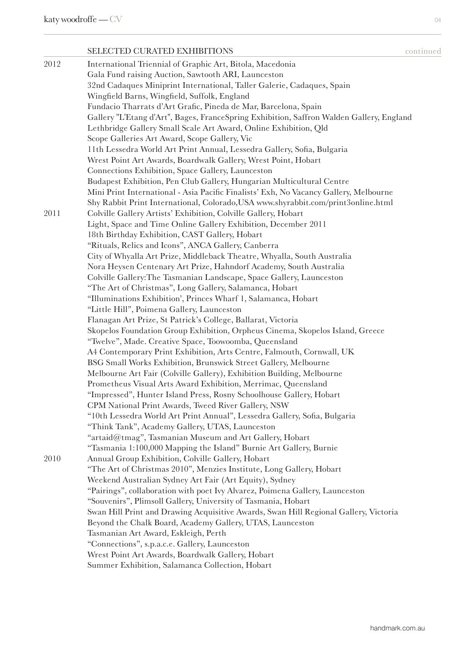|      | <b>SELECTED CURATED EXHIBITIONS</b>                                                                          | continued |
|------|--------------------------------------------------------------------------------------------------------------|-----------|
| 2012 | International Triennial of Graphic Art, Bitola, Macedonia                                                    |           |
|      | Gala Fund raising Auction, Sawtooth ARI, Launceston                                                          |           |
|      | 32nd Cadaques Miniprint International, Taller Galerie, Cadaques, Spain                                       |           |
|      | Wingfield Barns, Wingfield, Suffolk, England                                                                 |           |
|      | Fundacio Tharrats d'Art Grafic, Pineda de Mar, Barcelona, Spain                                              |           |
|      | Gallery "L'Etang d'Art", Bages, FranceSpring Exhibition, Saffron Walden Gallery, England                     |           |
|      | Lethbridge Gallery Small Scale Art Award, Online Exhibition, Qld                                             |           |
|      | Scope Galleries Art Award, Scope Gallery, Vic                                                                |           |
|      | 11th Lessedra World Art Print Annual, Lessedra Gallery, Sofia, Bulgaria                                      |           |
|      | Wrest Point Art Awards, Boardwalk Gallery, Wrest Point, Hobart                                               |           |
|      | Connections Exhibition, Space Gallery, Launceston                                                            |           |
|      | Budapest Exhibition, Pen Club Gallery, Hungarian Multicultural Centre                                        |           |
|      | Mini Print International - Asia Pacific Finalists' Exh, No Vacancy Gallery, Melbourne                        |           |
|      | Shy Rabbit Print International, Colorado, USA www.shyrabbit.com/print3online.html                            |           |
| 2011 | Colville Gallery Artists' Exhibition, Colville Gallery, Hobart                                               |           |
|      | Light, Space and Time Online Gallery Exhibition, December 2011                                               |           |
|      | 18th Birthday Exhibition, CAST Gallery, Hobart                                                               |           |
|      | "Rituals, Relics and Icons", ANCA Gallery, Canberra                                                          |           |
|      | City of Whyalla Art Prize, Middleback Theatre, Whyalla, South Australia                                      |           |
|      | Nora Heysen Centenary Art Prize, Hahndorf Academy, South Australia                                           |           |
|      | Colville Gallery: The Tasmanian Landscape, Space Gallery, Launceston                                         |           |
|      | "The Art of Christmas", Long Gallery, Salamanca, Hobart                                                      |           |
|      | "Illuminations Exhibition', Princes Wharf 1, Salamanca, Hobart<br>"Little Hill", Poimena Gallery, Launceston |           |
|      | Flanagan Art Prize, St Patrick's College, Ballarat, Victoria                                                 |           |
|      | Skopelos Foundation Group Exhibition, Orpheus Cinema, Skopelos Island, Greece                                |           |
|      | "Twelve", Made. Creative Space, Toowoomba, Queensland                                                        |           |
|      | A4 Contemporary Print Exhibition, Arts Centre, Falmouth, Cornwall, UK                                        |           |
|      | BSG Small Works Exhibition, Brunswick Street Gallery, Melbourne                                              |           |
|      | Melbourne Art Fair (Colville Gallery), Exhibition Building, Melbourne                                        |           |
|      | Prometheus Visual Arts Award Exhibition, Merrimac, Queensland                                                |           |
|      | "Impressed", Hunter Island Press, Rosny Schoolhouse Gallery, Hobart                                          |           |
|      | CPM National Print Awards, Tweed River Gallery, NSW                                                          |           |
|      | "10th Lessedra World Art Print Annual", Lessedra Gallery, Sofia, Bulgaria                                    |           |
|      | "Think Tank", Academy Gallery, UTAS, Launceston                                                              |           |
|      | "artaid@tmag", Tasmanian Museum and Art Gallery, Hobart                                                      |           |
|      | "Tasmania 1:100,000 Mapping the Island" Burnie Art Gallery, Burnie                                           |           |
| 2010 | Annual Group Exhibition, Colville Gallery, Hobart                                                            |           |
|      | "The Art of Christmas 2010", Menzies Institute, Long Gallery, Hobart                                         |           |
|      | Weekend Australian Sydney Art Fair (Art Equity), Sydney                                                      |           |
|      | "Pairings", collaboration with poet Ivy Alvarez, Poimena Gallery, Launceston                                 |           |
|      | "Souvenirs", Plimsoll Gallery, University of Tasmania, Hobart                                                |           |
|      | Swan Hill Print and Drawing Acquisitive Awards, Swan Hill Regional Gallery, Victoria                         |           |
|      | Beyond the Chalk Board, Academy Gallery, UTAS, Launceston                                                    |           |
|      | Tasmanian Art Award, Eskleigh, Perth                                                                         |           |
|      | "Connections", s.p.a.c.e. Gallery, Launceston                                                                |           |
|      | Wrest Point Art Awards, Boardwalk Gallery, Hobart                                                            |           |
|      | Summer Exhibition, Salamanca Collection, Hobart                                                              |           |
|      |                                                                                                              |           |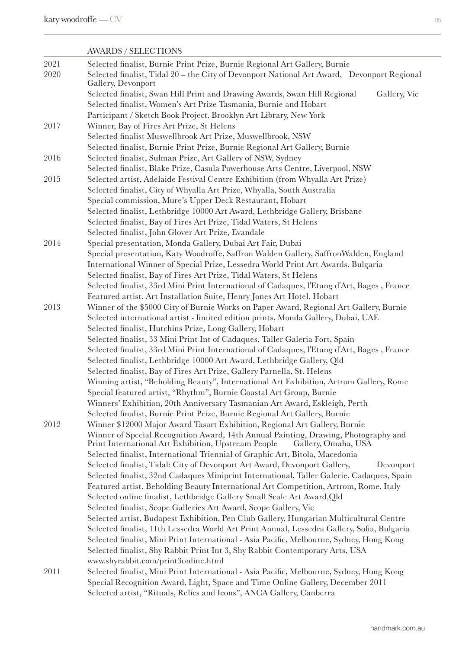|      | <b>AWARDS / SELECTIONS</b>                                                                                                                                        |
|------|-------------------------------------------------------------------------------------------------------------------------------------------------------------------|
| 2021 | Selected finalist, Burnie Print Prize, Burnie Regional Art Gallery, Burnie                                                                                        |
| 2020 | Selected finalist, Tidal 20 - the City of Devonport National Art Award, Devonport Regional<br>Gallery, Devonport                                                  |
|      | Selected finalist, Swan Hill Print and Drawing Awards, Swan Hill Regional<br>Gallery, Vic                                                                         |
|      | Selected finalist, Women's Art Prize Tasmania, Burnie and Hobart                                                                                                  |
|      | Participant / Sketch Book Project. Brooklyn Art Library, New York                                                                                                 |
| 2017 | Winner, Bay of Fires Art Prize, St Helens                                                                                                                         |
|      | Selected finalist Muswellbrook Art Prize, Muswellbrook, NSW                                                                                                       |
|      | Selected finalist, Burnie Print Prize, Burnie Regional Art Gallery, Burnie                                                                                        |
| 2016 | Selected finalist, Sulman Prize, Art Gallery of NSW, Sydney                                                                                                       |
| 2015 | Selected finalist, Blake Prize, Casula Powerhouse Arts Centre, Liverpool, NSW<br>Selected artist, Adelaide Festival Centre Exhibition (from Whyalla Art Prize)    |
|      | Selected finalist, City of Whyalla Art Prize, Whyalla, South Australia                                                                                            |
|      | Special commission, Mure's Upper Deck Restaurant, Hobart                                                                                                          |
|      | Selected finalist, Lethbridge 10000 Art Award, Lethbridge Gallery, Brisbane                                                                                       |
|      | Selected finalist, Bay of Fires Art Prize, Tidal Waters, St Helens                                                                                                |
|      | Selected finalist, John Glover Art Prize, Evandale                                                                                                                |
|      | Special presentation, Monda Gallery, Dubai Art Fair, Dubai                                                                                                        |
| 2014 | Special presentation, Katy Woodroffe, Saffron Walden Gallery, SaffronWalden, England                                                                              |
|      | International Winner of Special Prize, Lessedra World Print Art Awards, Bulgaria                                                                                  |
|      | Selected finalist, Bay of Fires Art Prize, Tidal Waters, St Helens                                                                                                |
|      | Selected finalist, 33rd Mini Print International of Cadaques, l'Etang d'Art, Bages, France                                                                        |
|      | Featured artist, Art Installation Suite, Henry Jones Art Hotel, Hobart                                                                                            |
| 2013 | Winner of the \$5000 City of Burnie Works on Paper Award, Regional Art Gallery, Burnie                                                                            |
|      | Selected international artist - limited edition prints, Monda Gallery, Dubai, UAE                                                                                 |
|      | Selected finalist, Hutchins Prize, Long Gallery, Hobart                                                                                                           |
|      | Selected finalist, 33 Mini Print Int of Cadaques, Taller Galeria Fort, Spain                                                                                      |
|      | Selected finalist, 33rd Mini Print International of Cadaques, l'Etang d'Art, Bages, France                                                                        |
|      | Selected finalist, Lethbridge 10000 Art Award, Lethbridge Gallery, Qld                                                                                            |
|      | Selected finalist, Bay of Fires Art Prize, Gallery Parnella, St. Helens                                                                                           |
|      | Winning artist, "Beholding Beauty", International Art Exhibition, Artrom Gallery, Rome                                                                            |
|      | Special featured artist, "Rhythm", Burnie Coastal Art Group, Burnie                                                                                               |
|      | Winners' Exhibition, 20th Anniversary Tasmanian Art Award, Eskleigh, Perth                                                                                        |
|      | Selected finalist, Burnie Print Prize, Burnie Regional Art Gallery, Burnie                                                                                        |
| 2012 | Winner \$12000 Major Award Tasart Exhibition, Regional Art Gallery, Burnie                                                                                        |
|      | Winner of Special Recognition Award, 14th Annual Painting, Drawing, Photography and<br>Print International Art Exhibition, Upstream People<br>Gallery, Omaha, USA |
|      | Selected finalist, International Triennial of Graphic Art, Bitola, Macedonia                                                                                      |
|      | Selected finalist, Tidal: City of Devonport Art Award, Devonport Gallery,<br>Devonport                                                                            |
|      | Selected finalist, 32nd Cadaques Miniprint International, Taller Galerie, Cadaques, Spain                                                                         |
|      | Featured artist, Beholding Beauty International Art Competition, Artrom, Rome, Italy                                                                              |
|      | Selected online finalist, Lethbridge Gallery Small Scale Art Award, Qld                                                                                           |
|      | Selected finalist, Scope Galleries Art Award, Scope Gallery, Vic                                                                                                  |
|      | Selected artist, Budapest Exhibition, Pen Club Gallery, Hungarian Multicultural Centre                                                                            |
|      | Selected finalist, 11th Lessedra World Art Print Annual, Lessedra Gallery, Sofia, Bulgaria                                                                        |
|      | Selected finalist, Mini Print International - Asia Pacific, Melbourne, Sydney, Hong Kong                                                                          |
|      | Selected finalist, Shy Rabbit Print Int 3, Shy Rabbit Contemporary Arts, USA                                                                                      |
|      | www.shyrabbit.com/print3online.html                                                                                                                               |
| 2011 | Selected finalist, Mini Print International - Asia Pacific, Melbourne, Sydney, Hong Kong                                                                          |
|      | Special Recognition Award, Light, Space and Time Online Gallery, December 2011                                                                                    |
|      | Selected artist, "Rituals, Relics and Icons", ANCA Gallery, Canberra                                                                                              |